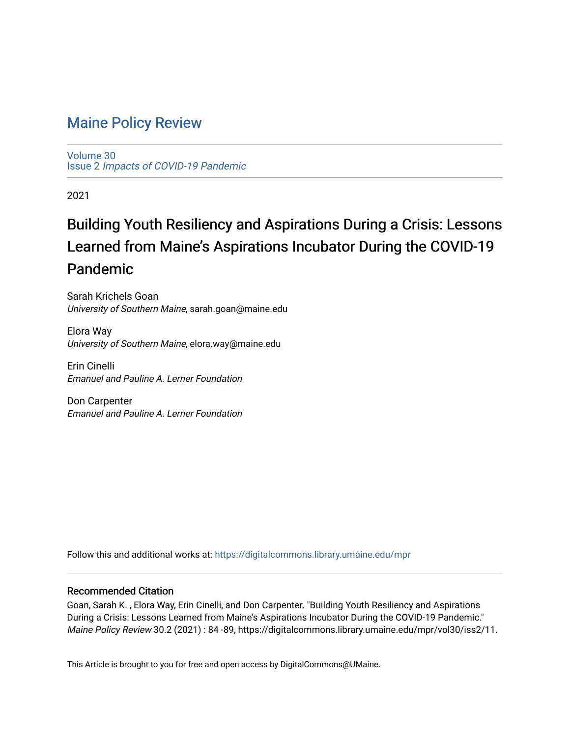# [Maine Policy Review](https://digitalcommons.library.umaine.edu/mpr)

[Volume 30](https://digitalcommons.library.umaine.edu/mpr/vol30) Issue 2 [Impacts of COVID-19 Pandemic](https://digitalcommons.library.umaine.edu/mpr/vol30/iss2)

2021

# Building Youth Resiliency and Aspirations During a Crisis: Lessons Learned from Maine's Aspirations Incubator During the COVID-19 Pandemic

Sarah Krichels Goan University of Southern Maine, sarah.goan@maine.edu

Elora Way University of Southern Maine, elora.way@maine.edu

Erin Cinelli Emanuel and Pauline A. Lerner Foundation

Don Carpenter Emanuel and Pauline A. Lerner Foundation

Follow this and additional works at: [https://digitalcommons.library.umaine.edu/mpr](https://digitalcommons.library.umaine.edu/mpr?utm_source=digitalcommons.library.umaine.edu%2Fmpr%2Fvol30%2Fiss2%2F11&utm_medium=PDF&utm_campaign=PDFCoverPages)

## Recommended Citation

Goan, Sarah K. , Elora Way, Erin Cinelli, and Don Carpenter. "Building Youth Resiliency and Aspirations During a Crisis: Lessons Learned from Maine's Aspirations Incubator During the COVID-19 Pandemic." Maine Policy Review 30.2 (2021) : 84 -89, https://digitalcommons.library.umaine.edu/mpr/vol30/iss2/11.

This Article is brought to you for free and open access by DigitalCommons@UMaine.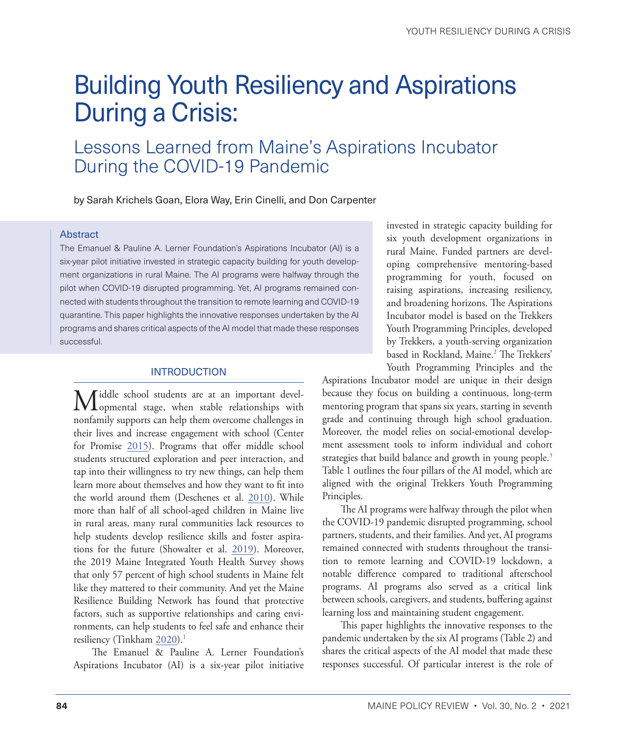# <span id="page-1-0"></span>Building Youth Resiliency and Aspirations During a Crisis:

# Lessons Learned from Maine's Aspirations Incubator During the COVID-19 Pandemic

by Sarah Krichels Goan, Elora Way, Erin Cinelli, and Don Carpenter

#### Abstract

The Emanuel & Pauline A. Lerner Foundation's Aspirations Incubator (AI) is a six-year pilot initiative invested in strategic capacity building for youth development organizations in rural Maine. The AI programs were halfway through the pilot when COVID-19 disrupted programming. Yet, AI programs remained connected with students throughout the transition to remote learning and COVID-19 quarantine. This paper highlights the innovative responses undertaken by the AI programs and shares critical aspects of the AI model that made these responses successful.

#### **INTRODUCTION**

Middle school students are at an important devel-opmental stage, when stable relationships with nonfamily supports can help them overcome challenges in their lives and increase engagement with school (Center for Promise [2015](#page-5-0)). Programs that offer middle school students structured exploration and peer interaction, and tap into their willingness to try new things, can help them learn more about themselves and how they want to fit into the world around them (Deschenes et al. [2010\)](#page-5-1). While more than half of all school-aged children in Maine live in rural areas, many rural communities lack resources to help students develop resilience skills and foster aspirations for the future (Showalter et al. [2019\)](#page-6-0). Moreover, the 2019 Maine Integrated Youth Health Survey shows that only 57 percent of high school students in Maine felt like they mattered to their community. And yet the Maine Resilience Building Network has found that protective factors, such as supportive relationships and caring environments, can help students to feel safe and enhance their resiliency (Tinkham [2020](#page-6-1)).<sup>[1](#page-5-2)</sup>

The Emanuel & Pauline A. Lerner Foundation's Aspirations Incubator (AI) is a six-year pilot initiative invested in strategic capacity building for six youth development organizations in rural Maine. Funded partners are developing comprehensive mentoring-based programming for youth, focused on raising aspirations, increasing resiliency, and broadening horizons. The Aspirations Incubator model is based on the Trekkers Youth Programming Principles, developed by Trekkers, a youth-serving organization based in Rockland, Maine.[2](#page-5-2) The Trekkers' Youth Programming Principles and the

Aspirations Incubator model are unique in their design because they focus on building a continuous, long-term mentoring program that spans six years, starting in seventh grade and continuing through high school graduation. Moreover, the model relies on social-emotional development assessment tools to inform individual and cohort strategies that build balance and growth in young people.<sup>3</sup> Table 1 outlines the four pillars of the AI model, which are aligned with the original Trekkers Youth Programming Principles.

The AI programs were halfway through the pilot when the COVID-19 pandemic disrupted programming, school partners, students, and their families. And yet, AI programs remained connected with students throughout the transition to remote learning and COVID-19 lockdown, a notable difference compared to traditional afterschool programs. AI programs also served as a critical link between schools, caregivers, and students, buffering against learning loss and maintaining student engagement.

This paper highlights the innovative responses to the pandemic undertaken by the six AI programs (Table 2) and shares the critical aspects of the AI model that made these responses successful. Of particular interest is the role of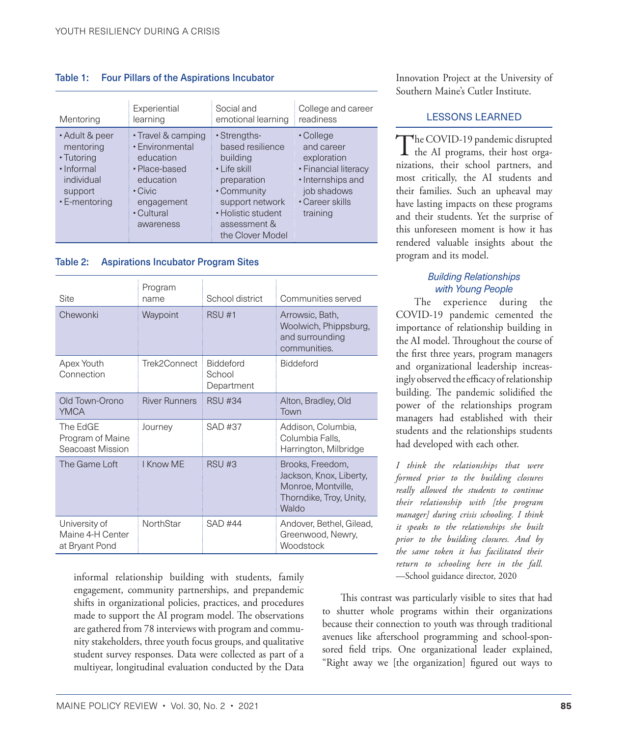#### Table 1: Four Pillars of the Aspirations Incubator

| Mentoring                                                                                         | Experiential                                                                                                                               | Social and                                                                                                                                                              | College and career                                                                                                                |
|---------------------------------------------------------------------------------------------------|--------------------------------------------------------------------------------------------------------------------------------------------|-------------------------------------------------------------------------------------------------------------------------------------------------------------------------|-----------------------------------------------------------------------------------------------------------------------------------|
|                                                                                                   | learning                                                                                                                                   | emotional learning                                                                                                                                                      | readiness                                                                                                                         |
| • Adult & peer<br>mentoring<br>• Tutoring<br>· Informal<br>individual<br>support<br>• E-mentoring | • Travel & camping<br>• Environmental<br>education<br>• Place-based<br>education<br>$\cdot$ Civic<br>engagement<br>• Cultural<br>awareness | • Strengths-<br>based resilience<br>building<br>• Life skill<br>preparation<br>• Community<br>support network<br>• Holistic student<br>assessment &<br>the Clover Model | • College<br>and career<br>exploration<br>• Financial literacy<br>• Internships and<br>job shadows<br>• Career skills<br>training |

#### Table 2: Aspirations Incubator Program Sites

| Site                                                | Program<br>name      | School district                          | Communities served                                                                                           |
|-----------------------------------------------------|----------------------|------------------------------------------|--------------------------------------------------------------------------------------------------------------|
| Chewonki                                            | Waypoint             | <b>RSU #1</b>                            | Arrowsic, Bath,<br>Woolwich, Phippsburg,<br>and surrounding<br>communities.                                  |
| Apex Youth<br>Connection                            | Trek2Connect         | <b>Biddeford</b><br>School<br>Department | <b>Biddeford</b>                                                                                             |
| Old Town-Orono<br><b>YMCA</b>                       | <b>River Runners</b> | <b>RSU #34</b>                           | Alton, Bradley, Old<br>Town                                                                                  |
| The EdGE<br>Program of Maine<br>Seacoast Mission    | Journey              | <b>SAD #37</b>                           | Addison, Columbia,<br>Columbia Falls,<br>Harrington, Milbridge                                               |
| The Game Loft                                       | I Know MF            | RSU#3                                    | Brooks, Freedom,<br>Jackson, Knox, Liberty,<br>Monroe, Montville,<br>Thorndike, Troy, Unity,<br><b>Waldo</b> |
| University of<br>Maine 4-H Center<br>at Bryant Pond | <b>NorthStar</b>     | SAD #44                                  | Andover, Bethel, Gilead,<br>Greenwood, Newry,<br>Woodstock                                                   |

informal relationship building with students, family engagement, community partnerships, and prepandemic shifts in organizational policies, practices, and procedures made to support the AI program model. The observations are gathered from 78 interviews with program and community stakeholders, three youth focus groups, and qualitative student survey responses. Data were collected as part of a multiyear, longitudinal evaluation conducted by the Data Innovation Project at the University of Southern Maine's Cutler Institute.

#### LESSONS LEARNED

The COVID-19 pandemic disrupted the AI programs, their host organizations, their school partners, and most critically, the AI students and their families. Such an upheaval may have lasting impacts on these programs and their students. Yet the surprise of this unforeseen moment is how it has rendered valuable insights about the program and its model.

#### *Building Relationships with Young People*

The experience during the COVID-19 pandemic cemented the importance of relationship building in the AI model. Throughout the course of the first three years, program managers and organizational leadership increasingly observed the efficacy of relationship building. The pandemic solidified the power of the relationships program managers had established with their students and the relationships students had developed with each other.

*I think the relationships that were formed prior to the building closures really allowed the students to continue their relationship with [the program manager] during crisis schooling. I think it speaks to the relationships she built prior to the building closures. And by the same token it has facilitated their return to schooling here in the fall.* —School guidance director, 2020

This contrast was particularly visible to sites that had to shutter whole programs within their organizations because their connection to youth was through traditional avenues like afterschool programming and school-sponsored field trips. One organizational leader explained, "Right away we [the organization] figured out ways to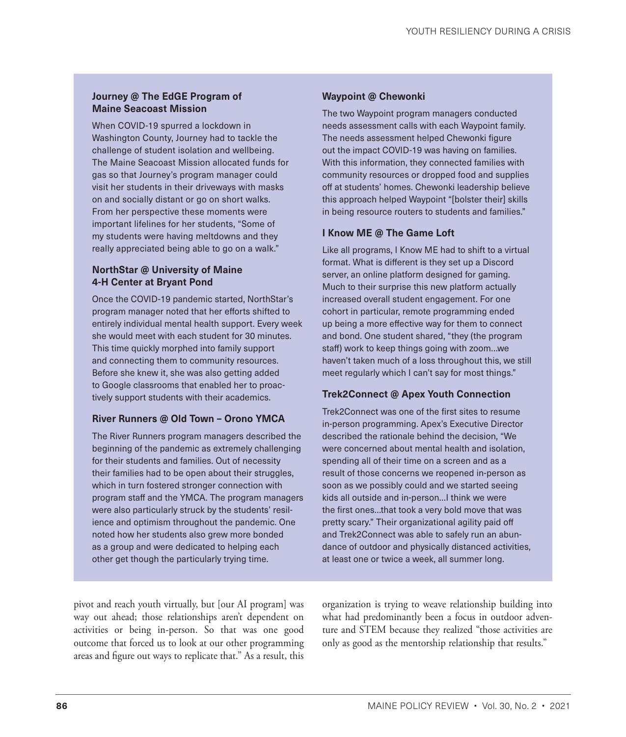#### **Journey @ The EdGE Program of Maine Seacoast Mission**

When COVID-19 spurred a lockdown in Washington County, Journey had to tackle the challenge of student isolation and wellbeing. The Maine Seacoast Mission allocated funds for gas so that Journey's program manager could visit her students in their driveways with masks on and socially distant or go on short walks. From her perspective these moments were important lifelines for her students, "Some of my students were having meltdowns and they really appreciated being able to go on a walk."

### **NorthStar @ University of Maine 4-H Center at Bryant Pond**

Once the COVID-19 pandemic started, NorthStar's program manager noted that her efforts shifted to entirely individual mental health support. Every week she would meet with each student for 30 minutes. This time quickly morphed into family support and connecting them to community resources. Before she knew it, she was also getting added to Google classrooms that enabled her to proactively support students with their academics.

#### **River Runners @ Old Town – Orono YMCA**

The River Runners program managers described the beginning of the pandemic as extremely challenging for their students and families. Out of necessity their families had to be open about their struggles, which in turn fostered stronger connection with program staff and the YMCA. The program managers were also particularly struck by the students' resilience and optimism throughout the pandemic. One noted how her students also grew more bonded as a group and were dedicated to helping each other get though the particularly trying time.

### **Waypoint @ Chewonki**

The two Waypoint program managers conducted needs assessment calls with each Waypoint family. The needs assessment helped Chewonki figure out the impact COVID-19 was having on families. With this information, they connected families with community resources or dropped food and supplies off at students' homes. Chewonki leadership believe this approach helped Waypoint "[bolster their] skills in being resource routers to students and families."

#### **I Know ME @ The Game Loft**

Like all programs, I Know ME had to shift to a virtual format. What is different is they set up a Discord server, an online platform designed for gaming. Much to their surprise this new platform actually increased overall student engagement. For one cohort in particular, remote programming ended up being a more effective way for them to connect and bond. One student shared, "they (the program staff) work to keep things going with zoom…we haven't taken much of a loss throughout this, we still meet regularly which I can't say for most things."

#### **Trek2Connect @ Apex Youth Connection**

Trek2Connect was one of the first sites to resume in-person programming. Apex's Executive Director described the rationale behind the decision, "We were concerned about mental health and isolation, spending all of their time on a screen and as a result of those concerns we reopened in-person as soon as we possibly could and we started seeing kids all outside and in-person…I think we were the first ones…that took a very bold move that was pretty scary." Their organizational agility paid off and Trek2Connect was able to safely run an abundance of outdoor and physically distanced activities, at least one or twice a week, all summer long.

pivot and reach youth virtually, but [our AI program] was way out ahead; those relationships aren't dependent on activities or being in-person. So that was one good outcome that forced us to look at our other programming areas and figure out ways to replicate that." As a result, this

organization is trying to weave relationship building into what had predominantly been a focus in outdoor adventure and STEM because they realized "those activities are only as good as the mentorship relationship that results."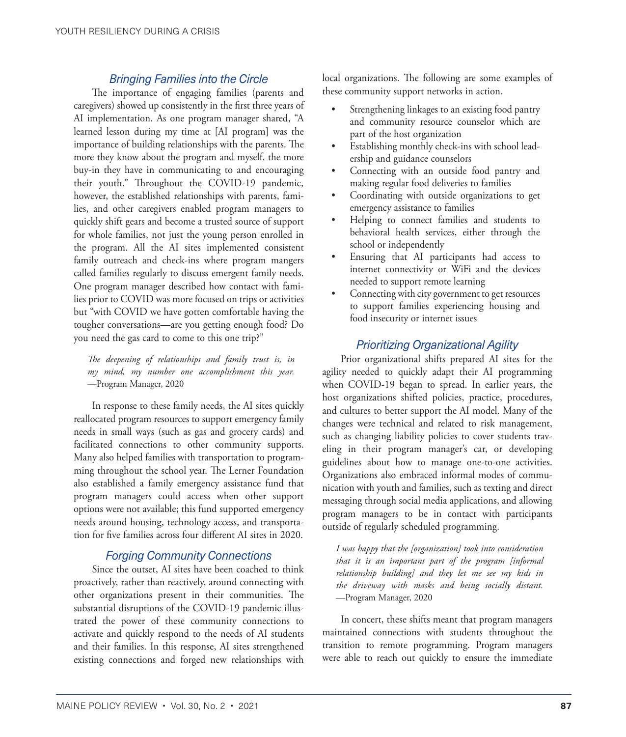## *Bringing Families into the Circle*

The importance of engaging families (parents and caregivers) showed up consistently in the first three years of AI implementation. As one program manager shared, "A learned lesson during my time at [AI program] was the importance of building relationships with the parents. The more they know about the program and myself, the more buy-in they have in communicating to and encouraging their youth." Throughout the COVID-19 pandemic, however, the established relationships with parents, families, and other caregivers enabled program managers to quickly shift gears and become a trusted source of support for whole families, not just the young person enrolled in the program. All the AI sites implemented consistent family outreach and check-ins where program mangers called families regularly to discuss emergent family needs. One program manager described how contact with families prior to COVID was more focused on trips or activities but "with COVID we have gotten comfortable having the tougher conversations—are you getting enough food? Do you need the gas card to come to this one trip?"

*The deepening of relationships and family trust is, in my mind, my number one accomplishment this year.* —Program Manager, 2020

In response to these family needs, the AI sites quickly reallocated program resources to support emergency family needs in small ways (such as gas and grocery cards) and facilitated connections to other community supports. Many also helped families with transportation to programming throughout the school year. The Lerner Foundation also established a family emergency assistance fund that program managers could access when other support options were not available; this fund supported emergency needs around housing, technology access, and transportation for five families across four different AI sites in 2020.

## *Forging Community Connections*

Since the outset, AI sites have been coached to think proactively, rather than reactively, around connecting with other organizations present in their communities. The substantial disruptions of the COVID-19 pandemic illustrated the power of these community connections to activate and quickly respond to the needs of AI students and their families. In this response, AI sites strengthened existing connections and forged new relationships with local organizations. The following are some examples of these community support networks in action.

- Strengthening linkages to an existing food pantry and community resource counselor which are part of the host organization
- Establishing monthly check-ins with school leadership and guidance counselors
- Connecting with an outside food pantry and making regular food deliveries to families
- Coordinating with outside organizations to get emergency assistance to families
- Helping to connect families and students to behavioral health services, either through the school or independently
- Ensuring that AI participants had access to internet connectivity or WiFi and the devices needed to support remote learning
- Connecting with city government to get resources to support families experiencing housing and food insecurity or internet issues

# *Prioritizing Organizational Agility*

Prior organizational shifts prepared AI sites for the agility needed to quickly adapt their AI programming when COVID-19 began to spread. In earlier years, the host organizations shifted policies, practice, procedures, and cultures to better support the AI model. Many of the changes were technical and related to risk management, such as changing liability policies to cover students traveling in their program manager's car, or developing guidelines about how to manage one-to-one activities. Organizations also embraced informal modes of communication with youth and families, such as texting and direct messaging through social media applications, and allowing program managers to be in contact with participants outside of regularly scheduled programming.

*I was happy that the [organization] took into consideration that it is an important part of the program [informal relationship building] and they let me see my kids in the driveway with masks and being socially distant.* —Program Manager, 2020

In concert, these shifts meant that program managers maintained connections with students throughout the transition to remote programming. Program managers were able to reach out quickly to ensure the immediate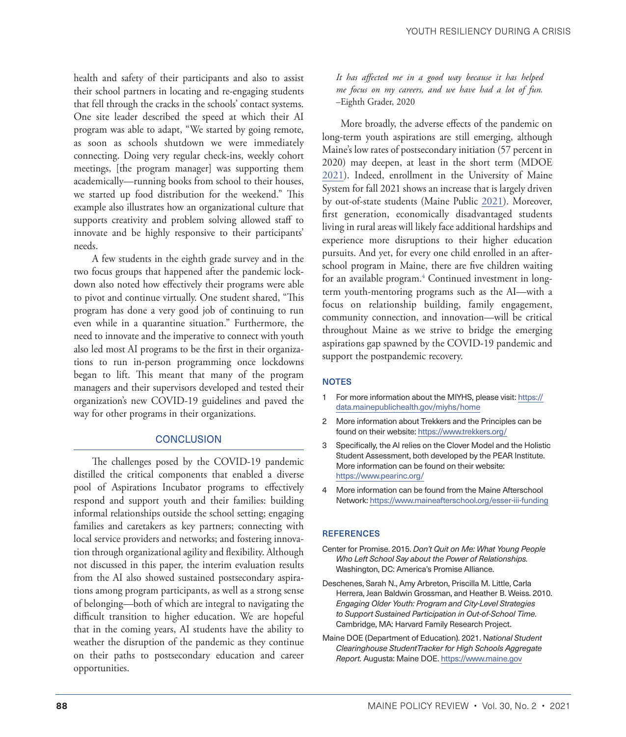<span id="page-5-2"></span>health and safety of their participants and also to assist their school partners in locating and re-engaging students that fell through the cracks in the schools' contact systems. One site leader described the speed at which their AI program was able to adapt, "We started by going remote, as soon as schools shutdown we were immediately connecting. Doing very regular check-ins, weekly cohort meetings, [the program manager] was supporting them academically—running books from school to their houses, we started up food distribution for the weekend." This example also illustrates how an organizational culture that supports creativity and problem solving allowed staff to innovate and be highly responsive to their participants' needs.

A few students in the eighth grade survey and in the two focus groups that happened after the pandemic lockdown also noted how effectively their programs were able to pivot and continue virtually. One student shared, "This program has done a very good job of continuing to run even while in a quarantine situation." Furthermore, the need to innovate and the imperative to connect with youth also led most AI programs to be the first in their organizations to run in-person programming once lockdowns began to lift. This meant that many of the program managers and their supervisors developed and tested their organization's new COVID-19 guidelines and paved the way for other programs in their organizations.

#### **CONCLUSION**

The challenges posed by the COVID-19 pandemic distilled the critical components that enabled a diverse pool of Aspirations Incubator programs to effectively respond and support youth and their families: building informal relationships outside the school setting; engaging families and caretakers as key partners; connecting with local service providers and networks; and fostering innovation through organizational agility and flexibility. Although not discussed in this paper, the interim evaluation results from the AI also showed sustained postsecondary aspirations among program participants, as well as a strong sense of belonging—both of which are integral to navigating the difficult transition to higher education. We are hopeful that in the coming years, AI students have the ability to weather the disruption of the pandemic as they continue on their paths to postsecondary education and career opportunities.

*It has affected me in a good way because it has helped me focus on my careers, and we have had a lot of fun.* –Eighth Grader, 2020

More broadly, the adverse effects of the pandemic on long-term youth aspirations are still emerging, although Maine's low rates of postsecondary initiation (57 percent in 2020) may deepen, at least in the short term (MDOE [2021](#page-5-3)). Indeed, enrollment in the University of Maine System for fall 2021 shows an increase that is largely driven by out-of-state students (Maine Public [2021\)](#page-6-2). Moreover, first generation, economically disadvantaged students living in rural areas will likely face additional hardships and experience more disruptions to their higher education pursuits. And yet, for every one child enrolled in an afterschool program in Maine, there are five children waiting for an available program.<sup>4</sup> Continued investment in longterm youth-mentoring programs such as the AI—with a focus on relationship building, family engagement, community connection, and innovation—will be critical throughout Maine as we strive to bridge the emerging aspirations gap spawned by the COVID-19 pandemic and support the postpandemic recovery.

#### **NOTES**

- [1](#page-1-0) For more information about the MIYHS, please visit: [https://](https://data.mainepublichealth.gov/miyhs/home) [data.mainepublichealth.gov/miyhs/home](https://data.mainepublichealth.gov/miyhs/home)
- [2](#page-1-0) More information about Trekkers and the Principles can be found on their website: https://www.trekkers.org/
- [3](#page-1-0) Specifically, the AI relies on the Clover Model and the Holistic Student Assessment, both developed by the PEAR Institute. More information can be found on their website: <https://www.pearinc.org/>
- 4 More information can be found from the Maine Afterschool Network: <https://www.maineafterschool.org/esser-iii-funding>

#### **REFERENCES**

- <span id="page-5-0"></span>Center for Promise. 2015. *Don't Quit on Me: What Young People Who Left School Say about the Power of Relationships.*  Washington, DC: America's Promise Alliance.
- <span id="page-5-1"></span>Deschenes, Sarah N., Amy Arbreton, Priscilla M. Little, Carla Herrera, Jean Baldwin Grossman, and Heather B. Weiss. 2010. *Engaging Older Youth: Program and City-Level Strategies to Support Sustained Participation in Out-of-School Time.*  Cambridge, MA: Harvard Family Research Project.
- <span id="page-5-3"></span>Maine DOE (Department of Education). 2021. N*ational Student Clearinghouse StudentTracker for High Schools Aggregate Report.* Augusta: Maine DOE. [https://www.maine.gov](https://www.maine.gov/doe/sites/maine.gov.doe/files/inline-files/Maine%20Department%20Of%20Education.pdf)